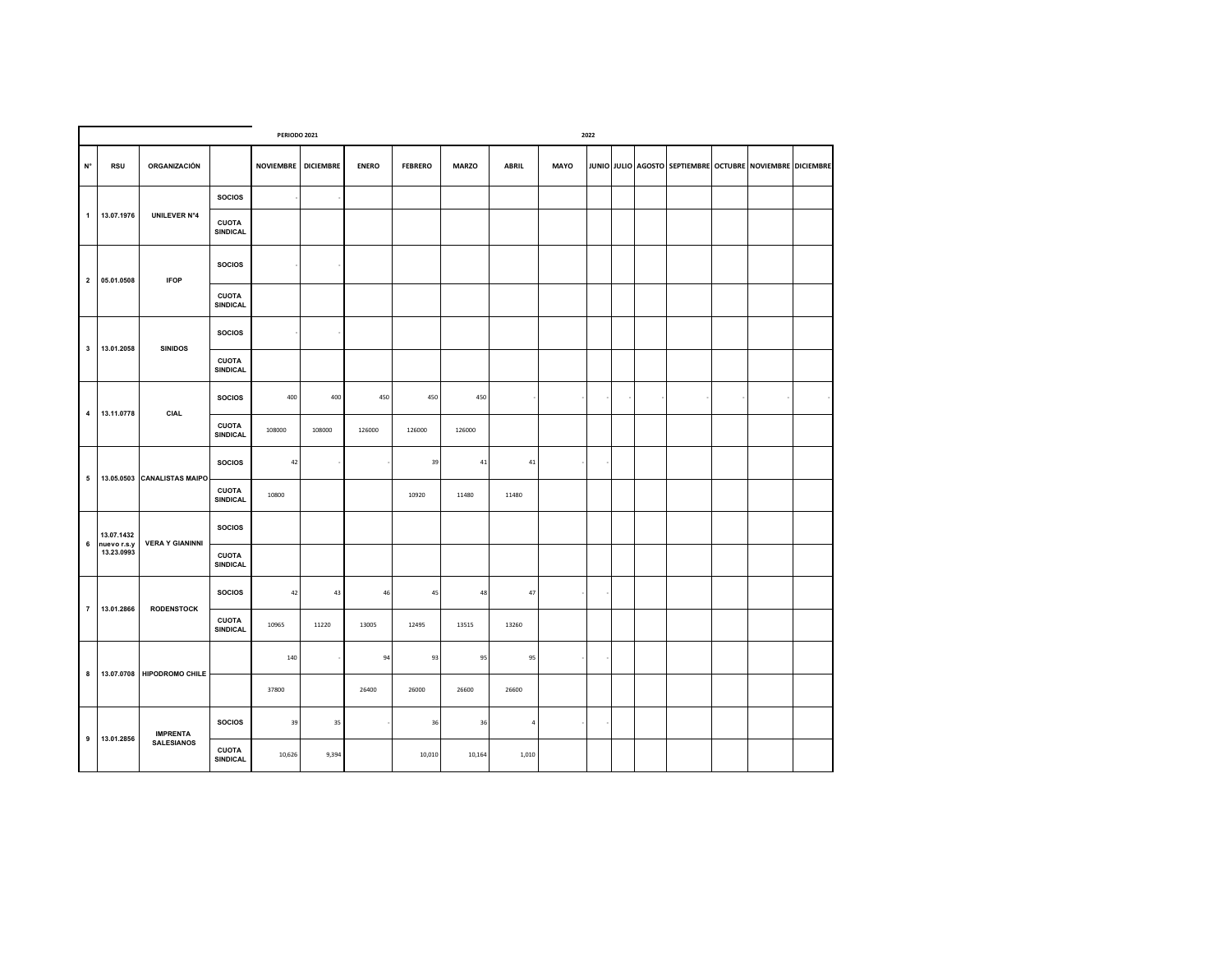|                         |                           |                             | 2022                            |                     |        |              |                |              |              |             |  |  |  |  |  |                                                           |  |
|-------------------------|---------------------------|-----------------------------|---------------------------------|---------------------|--------|--------------|----------------|--------------|--------------|-------------|--|--|--|--|--|-----------------------------------------------------------|--|
| $\mathsf{N}^\circ$      | <b>RSU</b>                | ORGANIZACIÓN                |                                 | NOVIEMBRE DICIEMBRE |        | <b>ENERO</b> | <b>FEBRERO</b> | <b>MARZO</b> | <b>ABRIL</b> | <b>MAYO</b> |  |  |  |  |  | JUNIO JULIO AGOSTO SEPTIEMBRE OCTUBRE NOVIEMBRE DICIEMBRE |  |
|                         |                           |                             | <b>SOCIOS</b>                   |                     |        |              |                |              |              |             |  |  |  |  |  |                                                           |  |
| 1                       | 13.07.1976                | <b>UNILEVER N°4</b>         | <b>CUOTA</b><br><b>SINDICAL</b> |                     |        |              |                |              |              |             |  |  |  |  |  |                                                           |  |
| $\overline{\mathbf{2}}$ | 05.01.0508                | <b>IFOP</b>                 | <b>SOCIOS</b>                   |                     |        |              |                |              |              |             |  |  |  |  |  |                                                           |  |
|                         |                           |                             | <b>CUOTA</b><br><b>SINDICAL</b> |                     |        |              |                |              |              |             |  |  |  |  |  |                                                           |  |
| $\mathbf{3}$            | 13.01.2058                | <b>SINIDOS</b>              | <b>SOCIOS</b>                   |                     |        |              |                |              |              |             |  |  |  |  |  |                                                           |  |
|                         |                           |                             | <b>CUOTA</b><br><b>SINDICAL</b> |                     |        |              |                |              |              |             |  |  |  |  |  |                                                           |  |
|                         |                           |                             | <b>SOCIOS</b>                   | 400                 | 400    | 450          | 450            | 450          |              |             |  |  |  |  |  |                                                           |  |
| 4                       | 13.11.0778                | <b>CIAL</b>                 | <b>CUOTA</b><br><b>SINDICAL</b> | 108000              | 108000 | 126000       | 126000         | 126000       |              |             |  |  |  |  |  |                                                           |  |
|                         |                           | 13.05.0503 CANALISTAS MAIPO | <b>SOCIOS</b>                   | 42                  |        |              | 39             | 41           | $41\,$       |             |  |  |  |  |  |                                                           |  |
| 5                       |                           |                             | <b>CUOTA</b><br><b>SINDICAL</b> | 10800               |        |              | 10920          | 11480        | 11480        |             |  |  |  |  |  |                                                           |  |
| 6                       | 13.07.1432<br>nuevo r.s.y | <b>VERA Y GIANINNI</b>      | <b>SOCIOS</b>                   |                     |        |              |                |              |              |             |  |  |  |  |  |                                                           |  |
|                         | 13.23.0993                |                             | <b>CUOTA</b><br><b>SINDICAL</b> |                     |        |              |                |              |              |             |  |  |  |  |  |                                                           |  |
| $\overline{7}$          | 13.01.2866                | <b>RODENSTOCK</b>           | <b>SOCIOS</b>                   | 42                  | 43     | 46           | 45             | 48           | 47           |             |  |  |  |  |  |                                                           |  |
|                         |                           |                             | <b>CUOTA</b><br>SINDICAL        | 10965               | 11220  | 13005        | 12495          | 13515        | 13260        |             |  |  |  |  |  |                                                           |  |
|                         |                           |                             |                                 | 140                 |        | 94           | 93             | 95           | 95           |             |  |  |  |  |  |                                                           |  |
| 8                       | 13.07.0708                | <b>HIPODROMO CHILE</b>      |                                 | 37800               |        | 26400        | 26000          | 26600        | 26600        |             |  |  |  |  |  |                                                           |  |
|                         |                           | <b>IMPRENTA</b>             | <b>SOCIOS</b>                   | 39                  | 35     |              | 36             | 36           | $\it 4$      |             |  |  |  |  |  |                                                           |  |
| $\boldsymbol{9}$        | 13.01.2856                | <b>SALESIANOS</b>           | <b>CUOTA</b><br><b>SINDICAL</b> | 10,626              | 9,394  |              | 10,010         | 10,164       | 1,010        |             |  |  |  |  |  |                                                           |  |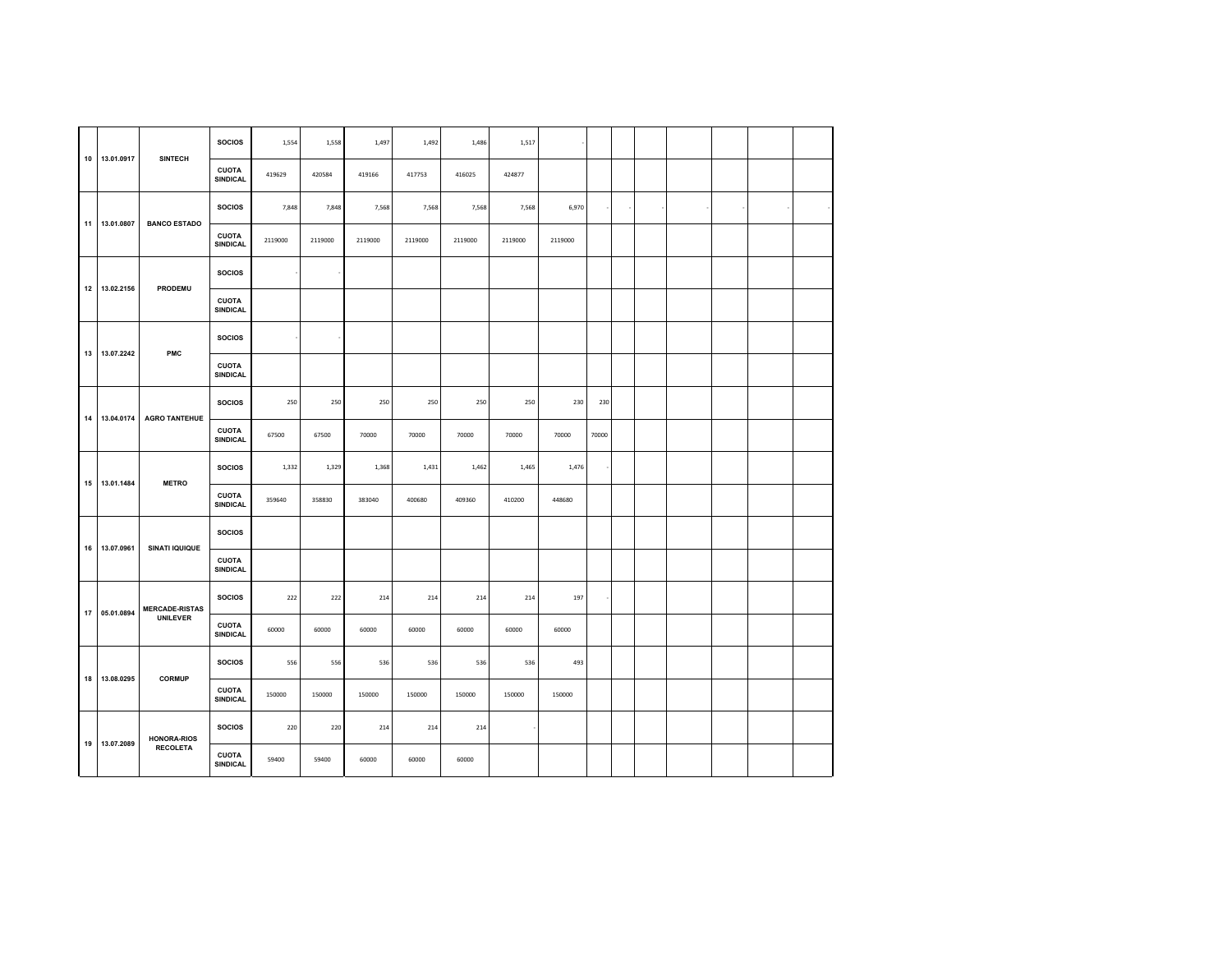|    |               |                       | <b>SOCIOS</b>                   | 1,554   | 1,558   | 1,497   | 1,492   | 1,486   | 1,517   |         |       |  |  |  |
|----|---------------|-----------------------|---------------------------------|---------|---------|---------|---------|---------|---------|---------|-------|--|--|--|
| 10 | 13.01.0917    | <b>SINTECH</b>        | <b>CUOTA</b><br>SINDICAL        | 419629  | 420584  | 419166  | 417753  | 416025  | 424877  |         |       |  |  |  |
|    |               |                       | <b>SOCIOS</b>                   | 7,848   | 7,848   | 7,568   | 7,568   | 7,568   | 7,568   | 6,970   |       |  |  |  |
| 11 | 13.01.0807    | <b>BANCO ESTADO</b>   | <b>CUOTA</b><br>SINDICAL        | 2119000 | 2119000 | 2119000 | 2119000 | 2119000 | 2119000 | 2119000 |       |  |  |  |
|    |               |                       | <b>SOCIOS</b>                   |         |         |         |         |         |         |         |       |  |  |  |
| 12 | 13.02.2156    | PRODEMU               | <b>CUOTA</b><br>SINDICAL        |         |         |         |         |         |         |         |       |  |  |  |
|    | 13.07.2242    | PMC                   | <b>SOCIOS</b>                   |         |         |         |         |         |         |         |       |  |  |  |
| 13 |               |                       | <b>CUOTA</b><br><b>SINDICAL</b> |         |         |         |         |         |         |         |       |  |  |  |
| 14 | 13.04.0174    | <b>AGRO TANTEHUE</b>  | <b>SOCIOS</b>                   | 250     | 250     | 250     | 250     | 250     | 250     | 230     | 230   |  |  |  |
|    |               |                       | <b>CUOTA</b><br>SINDICAL        | 67500   | 67500   | 70000   | 70000   | 70000   | 70000   | 70000   | 70000 |  |  |  |
|    | 15 13.01.1484 | <b>METRO</b>          | <b>SOCIOS</b>                   | 1,332   | 1,329   | 1,368   | 1,431   | 1,462   | 1,465   | 1,476   |       |  |  |  |
|    |               |                       | <b>CUOTA</b><br><b>SINDICAL</b> | 359640  | 358830  | 383040  | 400680  | 409360  | 410200  | 448680  |       |  |  |  |
| 16 | 13.07.0961    | <b>SINATI IQUIQUE</b> | <b>SOCIOS</b>                   |         |         |         |         |         |         |         |       |  |  |  |
|    |               |                       | <b>CUOTA</b><br>SINDICAL        |         |         |         |         |         |         |         |       |  |  |  |
| 17 | 05.01.0894    | <b>MERCADE-RISTAS</b> | <b>SOCIOS</b>                   | 222     | 222     | 214     | 214     | 214     | 214     | 197     |       |  |  |  |
|    |               | <b>UNILEVER</b>       | <b>CUOTA</b><br>SINDICAL        | 60000   | 60000   | 60000   | 60000   | 60000   | 60000   | 60000   |       |  |  |  |
| 18 | 13.08.0295    | <b>CORMUP</b>         | <b>SOCIOS</b>                   | 556     | 556     | 536     | 536     | 536     | 536     | 493     |       |  |  |  |
|    |               |                       | <b>CUOTA</b><br>SINDICAL        | 150000  | 150000  | 150000  | 150000  | 150000  | 150000  | 150000  |       |  |  |  |
| 19 | 13.07.2089    | <b>HONORA-RIOS</b>    | <b>SOCIOS</b>                   | 220     | 220     | 214     | 214     | 214     |         |         |       |  |  |  |
|    |               | <b>RECOLETA</b>       | <b>CUOTA</b><br><b>SINDICAL</b> | 59400   | 59400   | 60000   | 60000   | 60000   |         |         |       |  |  |  |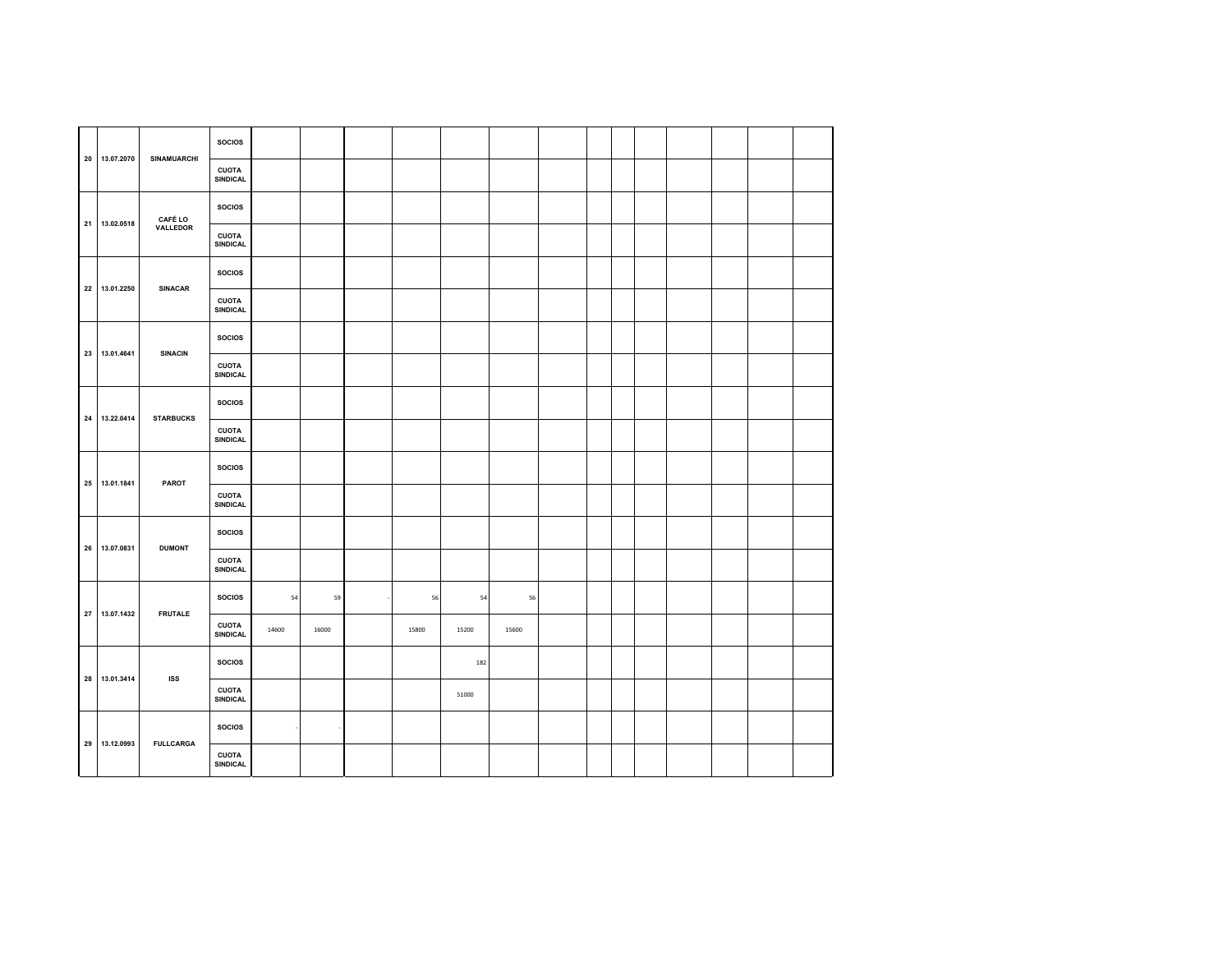| 20 13.07.2070 | <b>SINAMUARCHI</b> | <b>SOCIOS</b>                   |       |       |       |       |       |  |  |  |  |
|---------------|--------------------|---------------------------------|-------|-------|-------|-------|-------|--|--|--|--|
|               |                    | <b>CUOTA</b><br>SINDICAL        |       |       |       |       |       |  |  |  |  |
|               | <b>CAFÉ LO</b>     | <b>SOCIOS</b>                   |       |       |       |       |       |  |  |  |  |
| 21 13.02.0518 | VALLEDOR           | <b>CUOTA</b><br><b>SINDICAL</b> |       |       |       |       |       |  |  |  |  |
| 22 13.01.2250 | <b>SINACAR</b>     | <b>SOCIOS</b>                   |       |       |       |       |       |  |  |  |  |
|               |                    | <b>CUOTA</b><br>SINDICAL        |       |       |       |       |       |  |  |  |  |
| 23 13.01.4641 | <b>SINACIN</b>     | <b>SOCIOS</b>                   |       |       |       |       |       |  |  |  |  |
|               |                    | <b>CUOTA</b><br><b>SINDICAL</b> |       |       |       |       |       |  |  |  |  |
| 24 13.22.0414 | <b>STARBUCKS</b>   | <b>SOCIOS</b>                   |       |       |       |       |       |  |  |  |  |
|               |                    | <b>CUOTA</b><br><b>SINDICAL</b> |       |       |       |       |       |  |  |  |  |
| 25 13.01.1841 | PAROT              | <b>SOCIOS</b>                   |       |       |       |       |       |  |  |  |  |
|               |                    | <b>CUOTA</b><br><b>SINDICAL</b> |       |       |       |       |       |  |  |  |  |
| 26 13.07.0831 | <b>DUMONT</b>      | <b>SOCIOS</b>                   |       |       |       |       |       |  |  |  |  |
|               |                    | <b>CUOTA</b><br>SINDICAL        |       |       |       |       |       |  |  |  |  |
| 27 13.07.1432 | <b>FRUTALE</b>     | <b>SOCIOS</b>                   | 54    | 59    | 56    | 54    | 56    |  |  |  |  |
|               |                    | <b>CUOTA</b><br><b>SINDICAL</b> | 14600 | 16000 | 15800 | 15200 | 15600 |  |  |  |  |
| 28 13.01.3414 | <b>ISS</b>         | <b>SOCIOS</b>                   |       |       |       | 182   |       |  |  |  |  |
|               |                    | <b>CUOTA</b><br>SINDICAL        |       |       |       | 51000 |       |  |  |  |  |
| 29 13.12.0993 | <b>FULLCARGA</b>   | <b>SOCIOS</b>                   |       |       |       |       |       |  |  |  |  |
|               |                    | <b>CUOTA</b><br>SINDICAL        |       |       |       |       |       |  |  |  |  |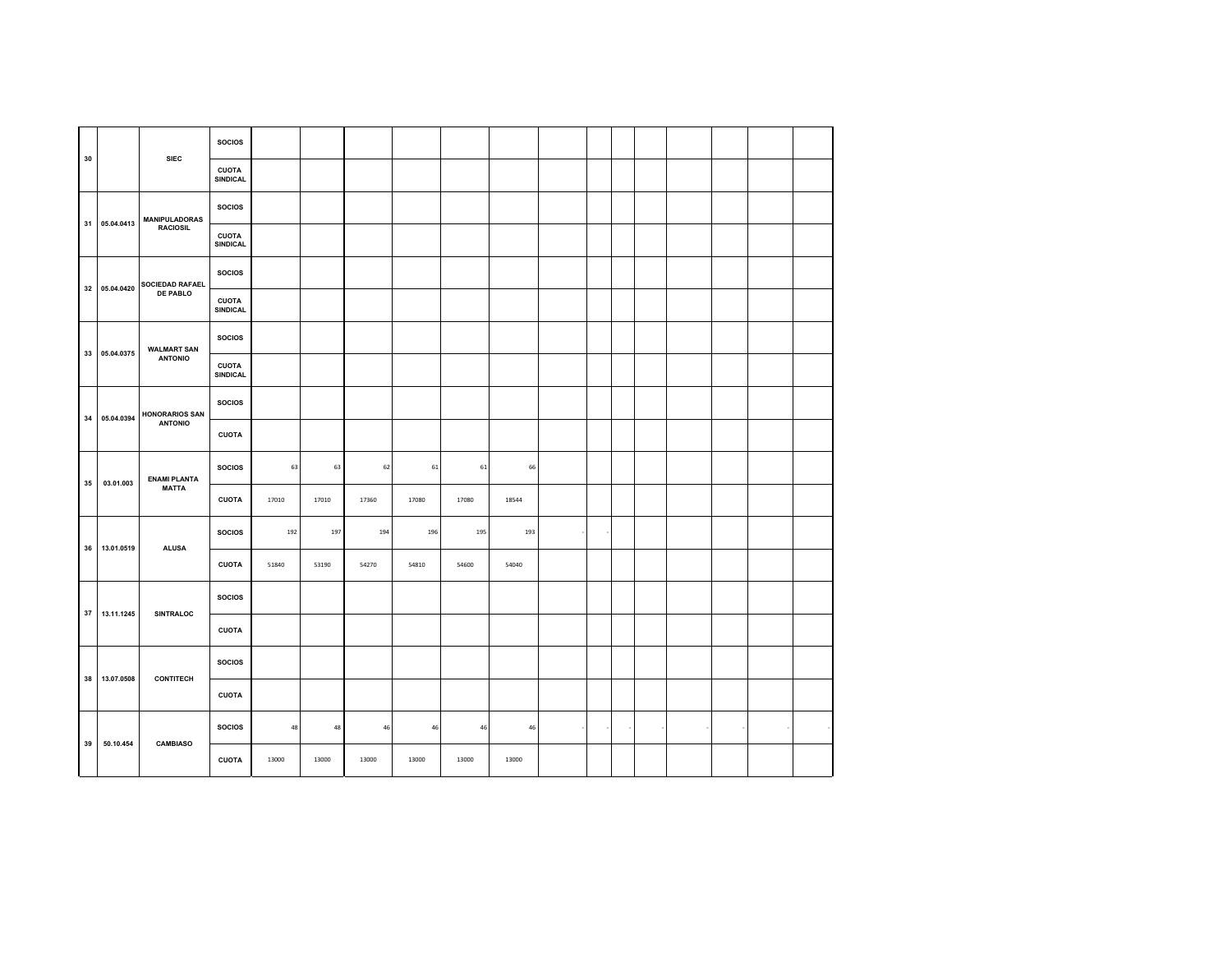|    |               | <b>SIEC</b>            | <b>SOCIOS</b>                   |       |       |       |       |       |       |  |  |  |  |
|----|---------------|------------------------|---------------------------------|-------|-------|-------|-------|-------|-------|--|--|--|--|
| 30 |               |                        | CUOTA<br>SINDICAL               |       |       |       |       |       |       |  |  |  |  |
|    | 31 05.04.0413 | <b>MANIPULADORAS</b>   | <b>SOCIOS</b>                   |       |       |       |       |       |       |  |  |  |  |
|    |               | <b>RACIOSIL</b>        | <b>CUOTA</b><br>SINDICAL        |       |       |       |       |       |       |  |  |  |  |
|    | 32 05.04.0420 | <b>SOCIEDAD RAFAEL</b> | <b>SOCIOS</b>                   |       |       |       |       |       |       |  |  |  |  |
|    |               | <b>DE PABLO</b>        | <b>CUOTA</b><br>SINDICAL        |       |       |       |       |       |       |  |  |  |  |
| 33 | 05.04.0375    | <b>WALMART SAN</b>     | <b>SOCIOS</b>                   |       |       |       |       |       |       |  |  |  |  |
|    |               | <b>ANTONIO</b>         | <b>CUOTA</b><br><b>SINDICAL</b> |       |       |       |       |       |       |  |  |  |  |
|    | 34 05.04.0394 | <b>HONORARIOS SAN</b>  | <b>SOCIOS</b>                   |       |       |       |       |       |       |  |  |  |  |
|    |               | <b>ANTONIO</b>         | <b>CUOTA</b>                    |       |       |       |       |       |       |  |  |  |  |
| 35 | 03.01.003     | <b>ENAMI PLANTA</b>    | <b>SOCIOS</b>                   | 63    | 63    | 62    | 61    | 61    | 66    |  |  |  |  |
|    |               | <b>MATTA</b>           | <b>CUOTA</b>                    | 17010 | 17010 | 17360 | 17080 | 17080 | 18544 |  |  |  |  |
|    | 36 13.01.0519 | <b>ALUSA</b>           | <b>SOCIOS</b>                   | 192   | 197   | 194   | 196   | 195   | 193   |  |  |  |  |
|    |               |                        | <b>CUOTA</b>                    | 51840 | 53190 | 54270 | 54810 | 54600 | 54040 |  |  |  |  |
|    | 37 13.11.1245 | <b>SINTRALOC</b>       | <b>SOCIOS</b>                   |       |       |       |       |       |       |  |  |  |  |
|    |               |                        | <b>CUOTA</b>                    |       |       |       |       |       |       |  |  |  |  |
|    | 38 13.07.0508 | <b>CONTITECH</b>       | <b>SOCIOS</b>                   |       |       |       |       |       |       |  |  |  |  |
|    |               |                        | <b>CUOTA</b>                    |       |       |       |       |       |       |  |  |  |  |
|    |               |                        | <b>SOCIOS</b>                   | 48    | 48    | 46    | 46    | 46    | 46    |  |  |  |  |
| 39 | 50.10.454     | <b>CAMBIASO</b>        | <b>CUOTA</b>                    | 13000 | 13000 | 13000 | 13000 | 13000 | 13000 |  |  |  |  |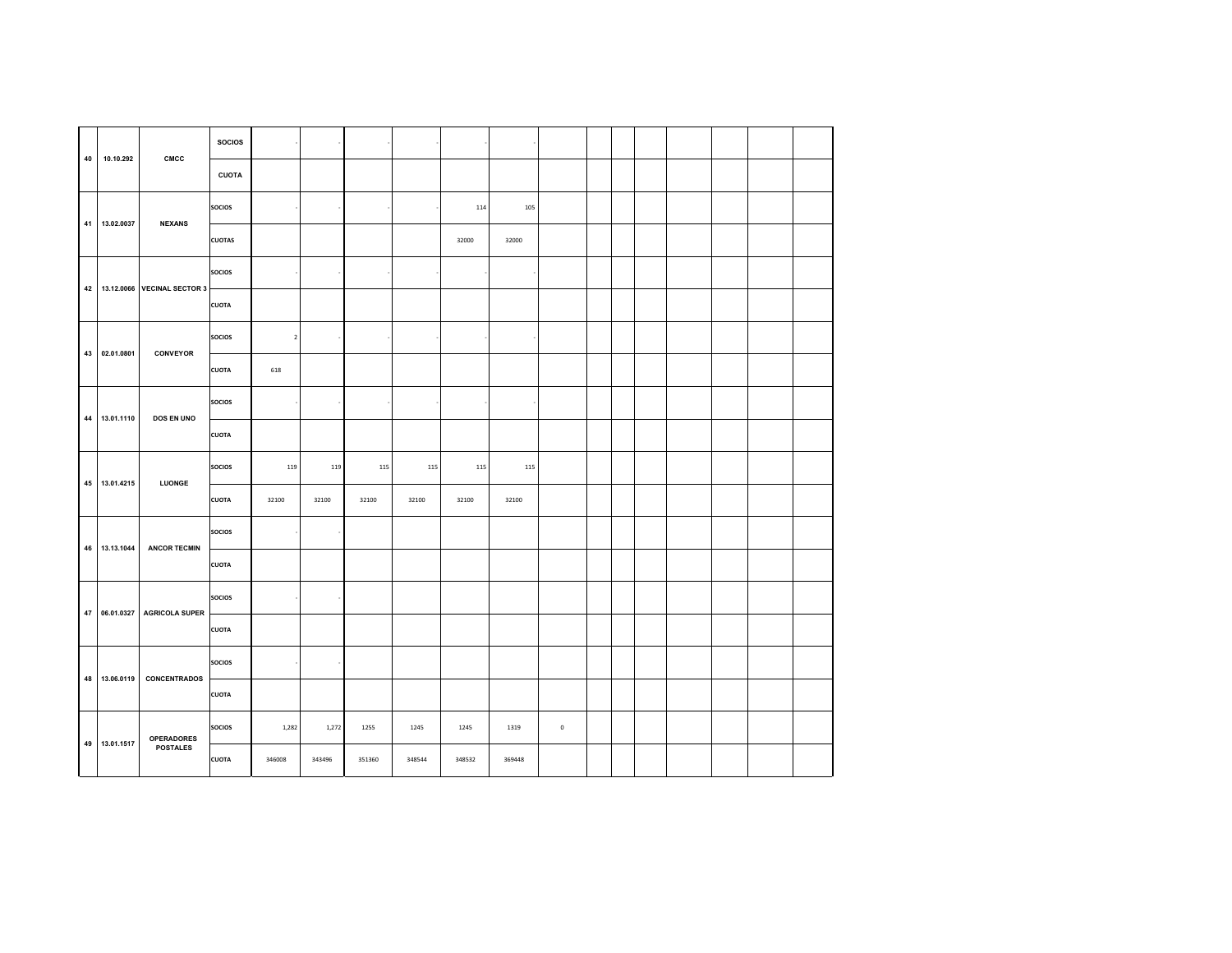| 40 | 10.10.292     | CMCC                                 | <b>SOCIOS</b> |             |       |       |       |       |       |             |  |  |  |  |
|----|---------------|--------------------------------------|---------------|-------------|-------|-------|-------|-------|-------|-------------|--|--|--|--|
|    |               |                                      | <b>CUOTA</b>  |             |       |       |       |       |       |             |  |  |  |  |
|    | 41 13.02.0037 | <b>NEXANS</b>                        | <b>SOCIOS</b> |             |       |       |       | 114   | 105   |             |  |  |  |  |
|    |               |                                      | <b>CUOTAS</b> |             |       |       |       | 32000 | 32000 |             |  |  |  |  |
|    |               | 42 13.12.0066 VECINAL SECTOR 3       | <b>SOCIOS</b> |             |       |       |       |       |       |             |  |  |  |  |
|    |               |                                      | <b>CUOTA</b>  |             |       |       |       |       |       |             |  |  |  |  |
|    | 43 02.01.0801 | CONVEYOR                             | <b>SOCIOS</b> | $\mathbf 2$ |       |       |       |       |       |             |  |  |  |  |
|    |               |                                      | <b>CUOTA</b>  | 618         |       |       |       |       |       |             |  |  |  |  |
|    | 44 13.01.1110 | <b>DOS EN UNO</b>                    | <b>SOCIOS</b> |             |       |       |       |       |       |             |  |  |  |  |
|    |               |                                      | <b>CUOTA</b>  |             |       |       |       |       |       |             |  |  |  |  |
|    |               |                                      |               |             |       |       |       |       |       |             |  |  |  |  |
|    |               |                                      | <b>SOCIOS</b> | 119         | 119   | 115   | 115   | 115   | 115   |             |  |  |  |  |
|    | 45 13.01.4215 | LUONGE                               | <b>CUOTA</b>  | 32100       | 32100 | 32100 | 32100 | 32100 | 32100 |             |  |  |  |  |
|    |               |                                      | <b>SOCIOS</b> |             |       |       |       |       |       |             |  |  |  |  |
|    | 46 13.13.1044 | <b>ANCOR TECMIN</b>                  | <b>CUOTA</b>  |             |       |       |       |       |       |             |  |  |  |  |
|    |               |                                      | <b>SOCIOS</b> |             |       |       |       |       |       |             |  |  |  |  |
|    | 47 06.01.0327 | <b>AGRICOLA SUPER</b>                | <b>CUOTA</b>  |             |       |       |       |       |       |             |  |  |  |  |
|    |               |                                      | <b>SOCIOS</b> |             |       |       |       |       |       |             |  |  |  |  |
|    | 48 13.06.0119 | <b>CONCENTRADOS</b>                  | <b>CUOTA</b>  |             |       |       |       |       |       |             |  |  |  |  |
|    | 49 13.01.1517 | <b>OPERADORES</b><br><b>POSTALES</b> | <b>SOCIOS</b> | 1,282       | 1,272 | 1255  | 1245  | 1245  | 1319  | $\mathbb O$ |  |  |  |  |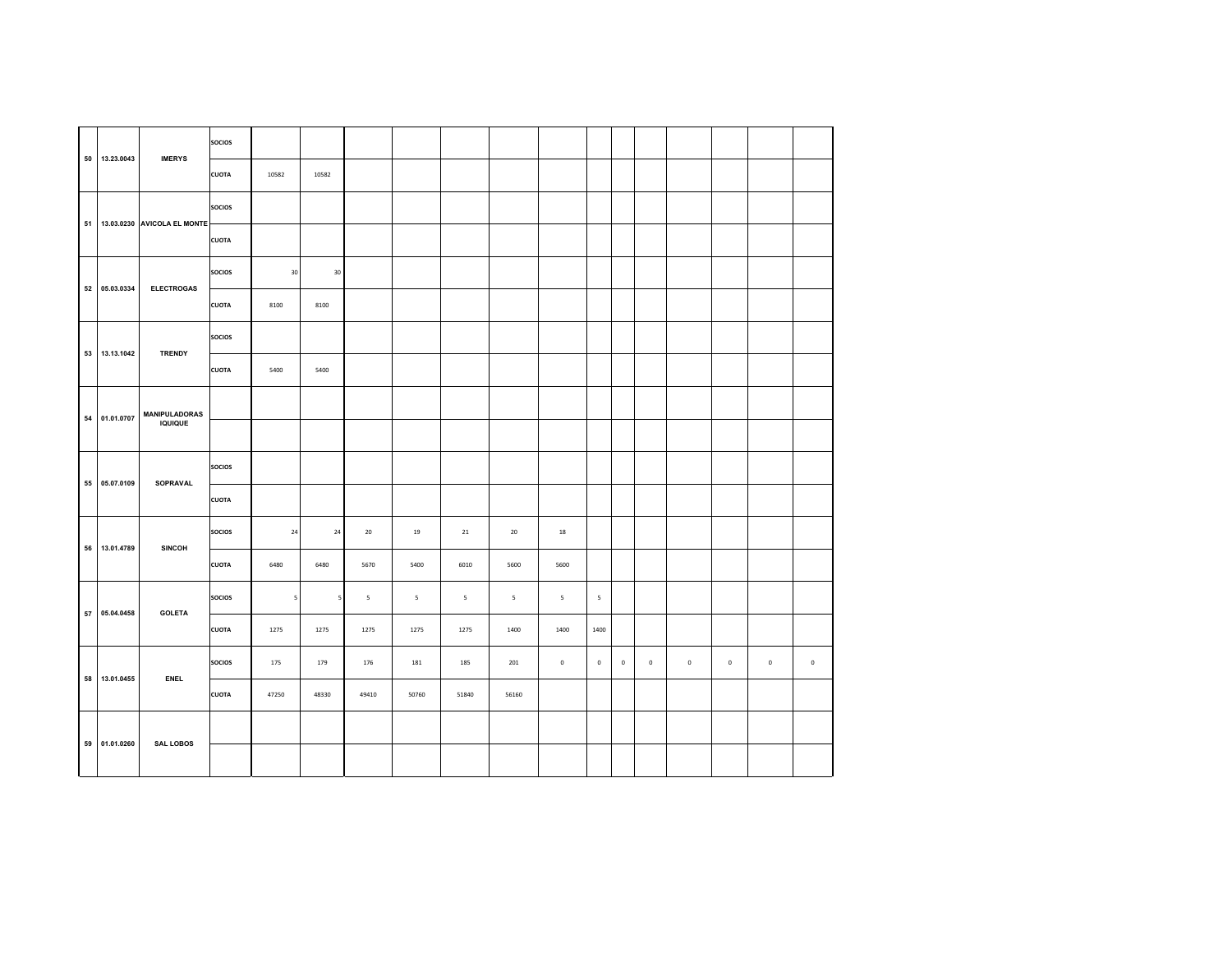| 50 13.23.0043 | <b>IMERYS</b>                  | <b>SOCIOS</b> |           |            |             |             |             |                          |             |                          |             |             |             |             |             |             |
|---------------|--------------------------------|---------------|-----------|------------|-------------|-------------|-------------|--------------------------|-------------|--------------------------|-------------|-------------|-------------|-------------|-------------|-------------|
|               |                                | <b>CUOTA</b>  | 10582     | 10582      |             |             |             |                          |             |                          |             |             |             |             |             |             |
|               |                                | <b>SOCIOS</b> |           |            |             |             |             |                          |             |                          |             |             |             |             |             |             |
|               | 51 13.03.0230 AVICOLA EL MONTE | <b>CUOTA</b>  |           |            |             |             |             |                          |             |                          |             |             |             |             |             |             |
| 52 05.03.0334 | <b>ELECTROGAS</b>              | <b>SOCIOS</b> | $30\,$    | $30\,$     |             |             |             |                          |             |                          |             |             |             |             |             |             |
|               |                                | <b>CUOTA</b>  | 8100      | 8100       |             |             |             |                          |             |                          |             |             |             |             |             |             |
| 53 13.13.1042 | <b>TRENDY</b>                  | <b>SOCIOS</b> |           |            |             |             |             |                          |             |                          |             |             |             |             |             |             |
|               |                                | <b>CUOTA</b>  | 5400      | 5400       |             |             |             |                          |             |                          |             |             |             |             |             |             |
| 54 01.01.0707 | <b>MANIPULADORAS</b>           |               |           |            |             |             |             |                          |             |                          |             |             |             |             |             |             |
|               | <b>IQUIQUE</b>                 |               |           |            |             |             |             |                          |             |                          |             |             |             |             |             |             |
| 55 05.07.0109 | SOPRAVAL                       | <b>SOCIOS</b> |           |            |             |             |             |                          |             |                          |             |             |             |             |             |             |
|               |                                | <b>CUOTA</b>  |           |            |             |             |             |                          |             |                          |             |             |             |             |             |             |
|               |                                | <b>SOCIOS</b> | $\bf{24}$ | ${\bf 24}$ | 20          | 19          | 21          | 20                       | 18          |                          |             |             |             |             |             |             |
| 56 13.01.4789 | <b>SINCOH</b>                  | <b>CUOTA</b>  | 6480      | 6480       | 5670        | 5400        | 6010        | 5600                     | 5600        |                          |             |             |             |             |             |             |
| 57 05.04.0458 | <b>GOLETA</b>                  | <b>SOCIOS</b> | 5         | 5          | $\mathsf S$ | $\mathsf S$ | $\mathsf S$ | $\overline{\phantom{a}}$ | 5           | $\overline{\phantom{a}}$ |             |             |             |             |             |             |
|               |                                | <b>CUOTA</b>  | 1275      | 1275       | 1275        | 1275        | 1275        | 1400                     | 1400        | 1400                     |             |             |             |             |             |             |
| 58 13.01.0455 | <b>ENEL</b>                    | <b>SOCIOS</b> | 175       | 179        | 176         | 181         | 185         | 201                      | $\mathbf 0$ | $\,0\,$                  | $\mathbf 0$ | $\mathbf 0$ | $\mathbf 0$ | $\mathbf 0$ | $\mathbf 0$ | $\mathbf 0$ |
|               |                                | <b>CUOTA</b>  | 47250     | 48330      | 49410       | 50760       | 51840       | 56160                    |             |                          |             |             |             |             |             |             |
|               |                                |               |           |            |             |             |             |                          |             |                          |             |             |             |             |             |             |
| 59 01.01.0260 | <b>SAL LOBOS</b>               |               |           |            |             |             |             |                          |             |                          |             |             |             |             |             |             |